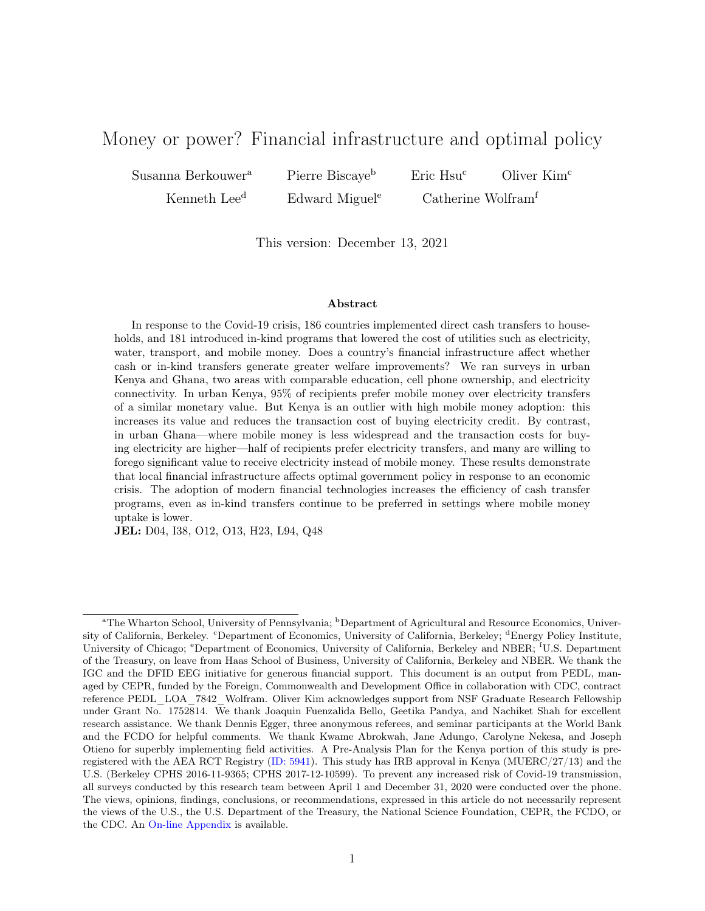# Money or power? Financial infrastructure and optimal policy

Susanna Berkouwer<sup>a</sup> Pierre Biscaye<sup>b</sup> Eric Hsu<sup>c</sup> Oliver Kim<sup>c</sup>

Kenneth Lee<sup>d</sup> Edward Miguel<sup>e</sup> Catherine Wolfram<sup>f</sup>

This version: December 13, 2021

#### Abstract

In response to the Covid-19 crisis, 186 countries implemented direct cash transfers to households, and 181 introduced in-kind programs that lowered the cost of utilities such as electricity, water, transport, and mobile money. Does a country's financial infrastructure affect whether cash or in-kind transfers generate greater welfare improvements? We ran surveys in urban Kenya and Ghana, two areas with comparable education, cell phone ownership, and electricity connectivity. In urban Kenya, 95% of recipients prefer mobile money over electricity transfers of a similar monetary value. But Kenya is an outlier with high mobile money adoption: this increases its value and reduces the transaction cost of buying electricity credit. By contrast, in urban Ghana—where mobile money is less widespread and the transaction costs for buying electricity are higher—half of recipients prefer electricity transfers, and many are willing to forego significant value to receive electricity instead of mobile money. These results demonstrate that local financial infrastructure affects optimal government policy in response to an economic crisis. The adoption of modern financial technologies increases the efficiency of cash transfer programs, even as in-kind transfers continue to be preferred in settings where mobile money uptake is lower.

JEL: D04, I38, O12, O13, H23, L94, Q48

<sup>&</sup>lt;sup>a</sup>The Wharton School, University of Pennsylvania; <sup>b</sup>Department of Agricultural and Resource Economics, University of California, Berkeley. <sup>c</sup>Department of Economics, University of California, Berkeley; <sup>d</sup>Energy Policy Institute, University of Chicago; <sup>e</sup>Department of Economics, University of California, Berkeley and NBER; <sup>f</sup>U.S. Department of the Treasury, on leave from Haas School of Business, University of California, Berkeley and NBER. We thank the IGC and the DFID EEG initiative for generous financial support. This document is an output from PEDL, managed by CEPR, funded by the Foreign, Commonwealth and Development Office in collaboration with CDC, contract reference PEDL\_LOA\_7842\_Wolfram. Oliver Kim acknowledges support from NSF Graduate Research Fellowship under Grant No. 1752814. We thank Joaquin Fuenzalida Bello, Geetika Pandya, and Nachiket Shah for excellent research assistance. We thank Dennis Egger, three anonymous referees, and seminar participants at the World Bank and the FCDO for helpful comments. We thank Kwame Abrokwah, Jane Adungo, Carolyne Nekesa, and Joseph Otieno for superbly implementing field activities. A Pre-Analysis Plan for the Kenya portion of this study is preregistered with the AEA RCT Registry [\(ID: 5941\)](https://www.socialscienceregistry.org/trials/5941). This study has IRB approval in Kenya (MUERC/27/13) and the U.S. (Berkeley CPHS 2016-11-9365; CPHS 2017-12-10599). To prevent any increased risk of Covid-19 transmission, all surveys conducted by this research team between April 1 and December 31, 2020 were conducted over the phone. The views, opinions, findings, conclusions, or recommendations, expressed in this article do not necessarily represent the views of the U.S., the U.S. Department of the Treasury, the National Science Foundation, CEPR, the FCDO, or the CDC. An [On-line Appendix](http://www.susannaberkouwer.com/files/theme/BBHKLMW_GhanaKenya_OA.pdf) is available.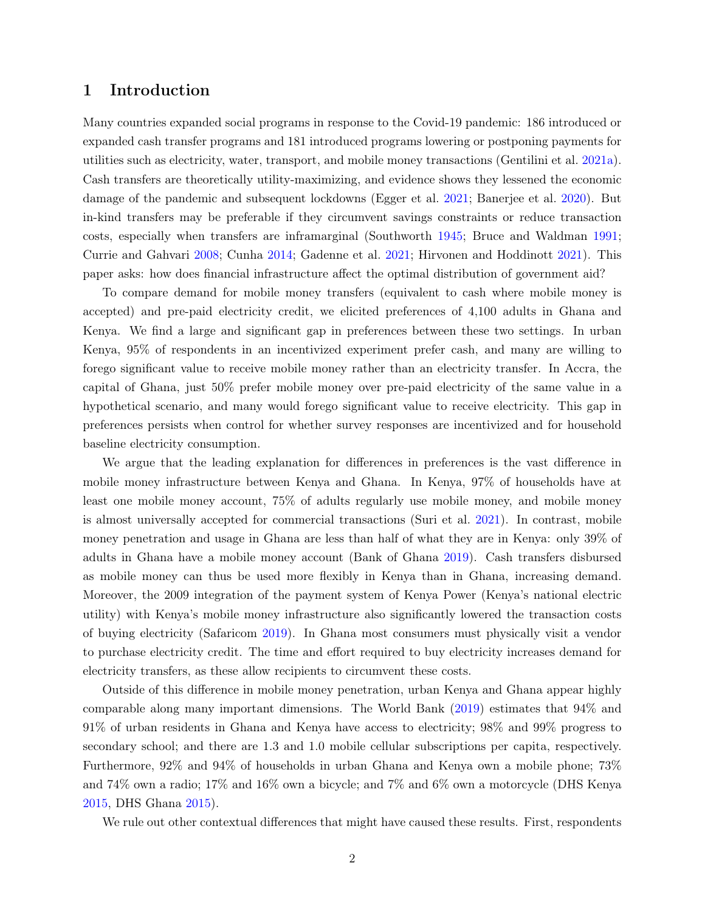### 1 Introduction

Many countries expanded social programs in response to the Covid-19 pandemic: 186 introduced or expanded cash transfer programs and 181 introduced programs lowering or postponing payments for utilities such as electricity, water, transport, and mobile money transactions (Gentilini et al. [2021a\)](#page-15-0). Cash transfers are theoretically utility-maximizing, and evidence shows they lessened the economic damage of the pandemic and subsequent lockdowns (Egger et al. [2021;](#page-15-1) Banerjee et al. [2020\)](#page-15-2). But in-kind transfers may be preferable if they circumvent savings constraints or reduce transaction costs, especially when transfers are inframarginal (Southworth [1945;](#page-16-0) Bruce and Waldman [1991;](#page-15-3) Currie and Gahvari [2008;](#page-15-4) Cunha [2014;](#page-15-5) Gadenne et al. [2021;](#page-15-6) Hirvonen and Hoddinott [2021\)](#page-16-1). This paper asks: how does financial infrastructure affect the optimal distribution of government aid?

To compare demand for mobile money transfers (equivalent to cash where mobile money is accepted) and pre-paid electricity credit, we elicited preferences of 4,100 adults in Ghana and Kenya. We find a large and significant gap in preferences between these two settings. In urban Kenya, 95% of respondents in an incentivized experiment prefer cash, and many are willing to forego significant value to receive mobile money rather than an electricity transfer. In Accra, the capital of Ghana, just 50% prefer mobile money over pre-paid electricity of the same value in a hypothetical scenario, and many would forego significant value to receive electricity. This gap in preferences persists when control for whether survey responses are incentivized and for household baseline electricity consumption.

We argue that the leading explanation for differences in preferences is the vast difference in mobile money infrastructure between Kenya and Ghana. In Kenya, 97% of households have at least one mobile money account, 75% of adults regularly use mobile money, and mobile money is almost universally accepted for commercial transactions (Suri et al. [2021\)](#page-16-2). In contrast, mobile money penetration and usage in Ghana are less than half of what they are in Kenya: only 39% of adults in Ghana have a mobile money account (Bank of Ghana [2019\)](#page-15-7). Cash transfers disbursed as mobile money can thus be used more flexibly in Kenya than in Ghana, increasing demand. Moreover, the 2009 integration of the payment system of Kenya Power (Kenya's national electric utility) with Kenya's mobile money infrastructure also significantly lowered the transaction costs of buying electricity (Safaricom [2019\)](#page-16-3). In Ghana most consumers must physically visit a vendor to purchase electricity credit. The time and effort required to buy electricity increases demand for electricity transfers, as these allow recipients to circumvent these costs.

Outside of this difference in mobile money penetration, urban Kenya and Ghana appear highly comparable along many important dimensions. The World Bank [\(2019\)](#page-16-4) estimates that 94% and 91% of urban residents in Ghana and Kenya have access to electricity; 98% and 99% progress to secondary school; and there are 1.3 and 1.0 mobile cellular subscriptions per capita, respectively. Furthermore, 92% and 94% of households in urban Ghana and Kenya own a mobile phone; 73% and 74% own a radio; 17% and 16% own a bicycle; and 7% and 6% own a motorcycle (DHS Kenya [2015,](#page-16-5) DHS Ghana [2015\)](#page-16-6).

We rule out other contextual differences that might have caused these results. First, respondents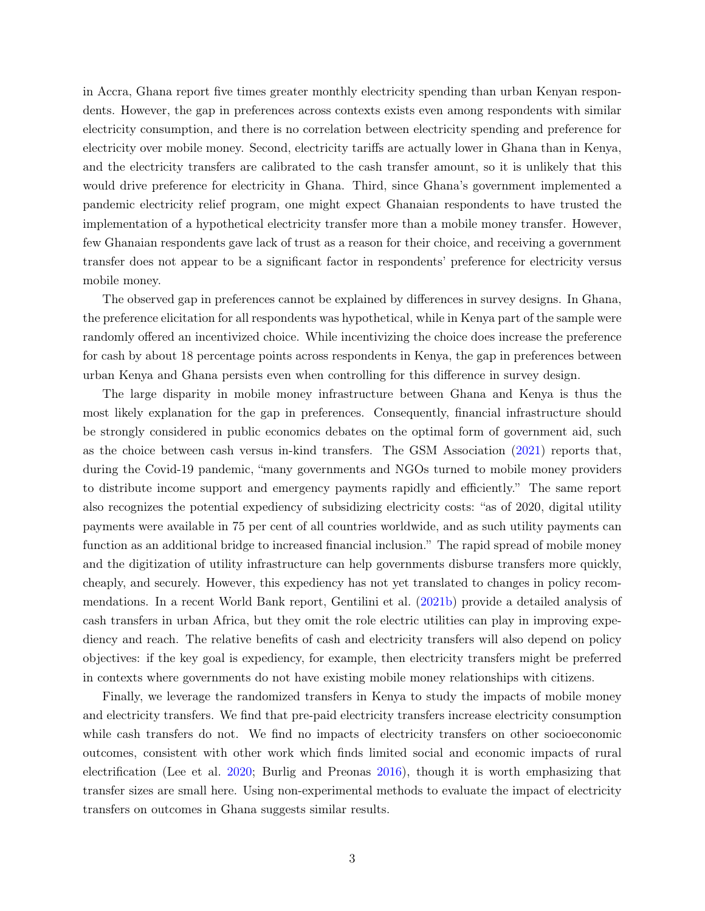in Accra, Ghana report five times greater monthly electricity spending than urban Kenyan respondents. However, the gap in preferences across contexts exists even among respondents with similar electricity consumption, and there is no correlation between electricity spending and preference for electricity over mobile money. Second, electricity tariffs are actually lower in Ghana than in Kenya, and the electricity transfers are calibrated to the cash transfer amount, so it is unlikely that this would drive preference for electricity in Ghana. Third, since Ghana's government implemented a pandemic electricity relief program, one might expect Ghanaian respondents to have trusted the implementation of a hypothetical electricity transfer more than a mobile money transfer. However, few Ghanaian respondents gave lack of trust as a reason for their choice, and receiving a government transfer does not appear to be a significant factor in respondents' preference for electricity versus mobile money.

The observed gap in preferences cannot be explained by differences in survey designs. In Ghana, the preference elicitation for all respondents was hypothetical, while in Kenya part of the sample were randomly offered an incentivized choice. While incentivizing the choice does increase the preference for cash by about 18 percentage points across respondents in Kenya, the gap in preferences between urban Kenya and Ghana persists even when controlling for this difference in survey design.

The large disparity in mobile money infrastructure between Ghana and Kenya is thus the most likely explanation for the gap in preferences. Consequently, financial infrastructure should be strongly considered in public economics debates on the optimal form of government aid, such as the choice between cash versus in-kind transfers. The GSM Association [\(2021\)](#page-16-7) reports that, during the Covid-19 pandemic, "many governments and NGOs turned to mobile money providers to distribute income support and emergency payments rapidly and efficiently." The same report also recognizes the potential expediency of subsidizing electricity costs: "as of 2020, digital utility payments were available in 75 per cent of all countries worldwide, and as such utility payments can function as an additional bridge to increased financial inclusion." The rapid spread of mobile money and the digitization of utility infrastructure can help governments disburse transfers more quickly, cheaply, and securely. However, this expediency has not yet translated to changes in policy recommendations. In a recent World Bank report, Gentilini et al. [\(2021b\)](#page-16-8) provide a detailed analysis of cash transfers in urban Africa, but they omit the role electric utilities can play in improving expediency and reach. The relative benefits of cash and electricity transfers will also depend on policy objectives: if the key goal is expediency, for example, then electricity transfers might be preferred in contexts where governments do not have existing mobile money relationships with citizens.

Finally, we leverage the randomized transfers in Kenya to study the impacts of mobile money and electricity transfers. We find that pre-paid electricity transfers increase electricity consumption while cash transfers do not. We find no impacts of electricity transfers on other socioeconomic outcomes, consistent with other work which finds limited social and economic impacts of rural electrification (Lee et al. [2020;](#page-16-9) Burlig and Preonas [2016\)](#page-15-8), though it is worth emphasizing that transfer sizes are small here. Using non-experimental methods to evaluate the impact of electricity transfers on outcomes in Ghana suggests similar results.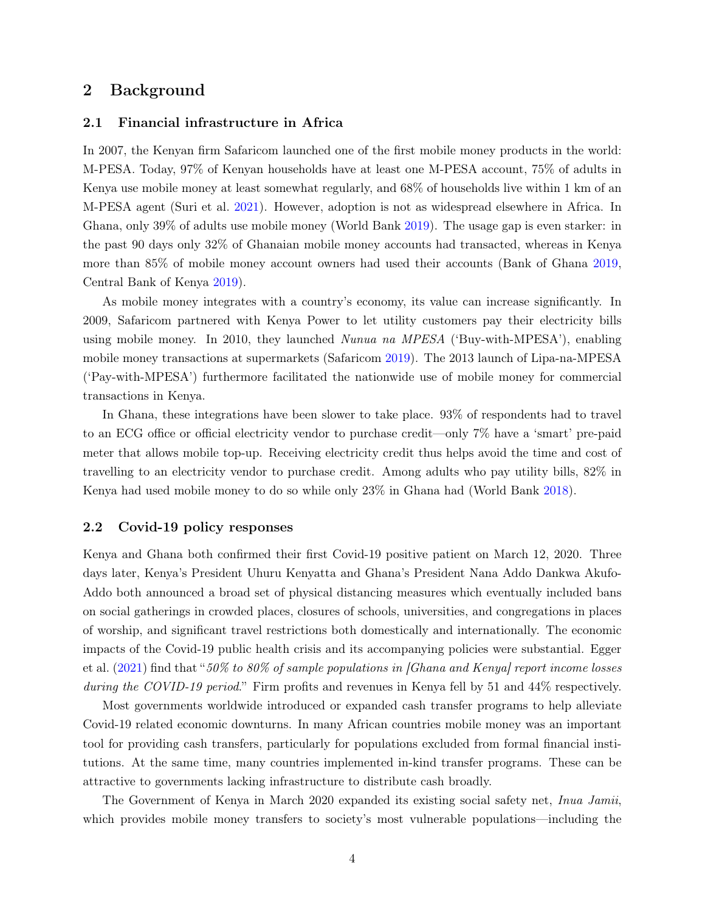### 2 Background

#### 2.1 Financial infrastructure in Africa

In 2007, the Kenyan firm Safaricom launched one of the first mobile money products in the world: M-PESA. Today, 97% of Kenyan households have at least one M-PESA account, 75% of adults in Kenya use mobile money at least somewhat regularly, and 68% of households live within 1 km of an M-PESA agent (Suri et al. [2021\)](#page-16-2). However, adoption is not as widespread elsewhere in Africa. In Ghana, only 39% of adults use mobile money (World Bank [2019\)](#page-16-10). The usage gap is even starker: in the past 90 days only 32% of Ghanaian mobile money accounts had transacted, whereas in Kenya more than 85% of mobile money account owners had used their accounts (Bank of Ghana [2019,](#page-15-7) Central Bank of Kenya [2019\)](#page-15-9).

As mobile money integrates with a country's economy, its value can increase significantly. In 2009, Safaricom partnered with Kenya Power to let utility customers pay their electricity bills using mobile money. In 2010, they launched Nunua na MPESA ('Buy-with-MPESA'), enabling mobile money transactions at supermarkets (Safaricom [2019\)](#page-16-3). The 2013 launch of Lipa-na-MPESA ('Pay-with-MPESA') furthermore facilitated the nationwide use of mobile money for commercial transactions in Kenya.

In Ghana, these integrations have been slower to take place. 93% of respondents had to travel to an ECG office or official electricity vendor to purchase credit—only 7% have a 'smart' pre-paid meter that allows mobile top-up. Receiving electricity credit thus helps avoid the time and cost of travelling to an electricity vendor to purchase credit. Among adults who pay utility bills, 82% in Kenya had used mobile money to do so while only 23% in Ghana had (World Bank [2018\)](#page-15-10).

#### 2.2 Covid-19 policy responses

Kenya and Ghana both confirmed their first Covid-19 positive patient on March 12, 2020. Three days later, Kenya's President Uhuru Kenyatta and Ghana's President Nana Addo Dankwa Akufo-Addo both announced a broad set of physical distancing measures which eventually included bans on social gatherings in crowded places, closures of schools, universities, and congregations in places of worship, and significant travel restrictions both domestically and internationally. The economic impacts of the Covid-19 public health crisis and its accompanying policies were substantial. Egger et al.  $(2021)$  find that "50% to 80% of sample populations in [Ghana and Kenya] report income losses during the COVID-19 period." Firm profits and revenues in Kenya fell by 51 and 44% respectively.

Most governments worldwide introduced or expanded cash transfer programs to help alleviate Covid-19 related economic downturns. In many African countries mobile money was an important tool for providing cash transfers, particularly for populations excluded from formal financial institutions. At the same time, many countries implemented in-kind transfer programs. These can be attractive to governments lacking infrastructure to distribute cash broadly.

The Government of Kenya in March 2020 expanded its existing social safety net, Inua Jamii, which provides mobile money transfers to society's most vulnerable populations—including the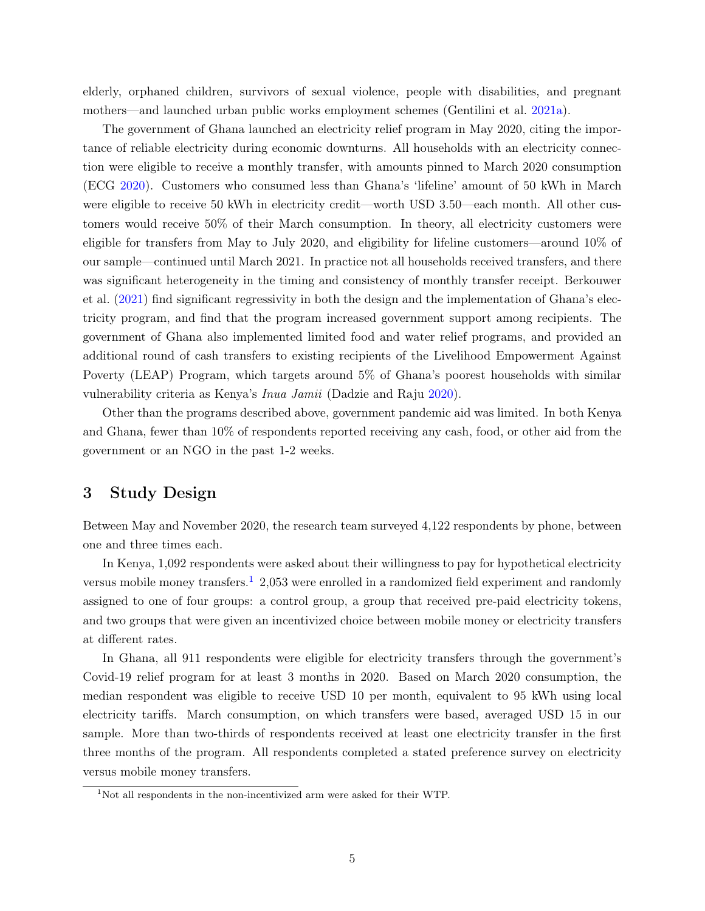elderly, orphaned children, survivors of sexual violence, people with disabilities, and pregnant mothers—and launched urban public works employment schemes (Gentilini et al. [2021a\)](#page-15-0).

The government of Ghana launched an electricity relief program in May 2020, citing the importance of reliable electricity during economic downturns. All households with an electricity connection were eligible to receive a monthly transfer, with amounts pinned to March 2020 consumption (ECG [2020\)](#page-15-11). Customers who consumed less than Ghana's 'lifeline' amount of 50 kWh in March were eligible to receive 50 kWh in electricity credit—worth USD 3.50—each month. All other customers would receive 50% of their March consumption. In theory, all electricity customers were eligible for transfers from May to July 2020, and eligibility for lifeline customers—around 10% of our sample—continued until March 2021. In practice not all households received transfers, and there was significant heterogeneity in the timing and consistency of monthly transfer receipt. Berkouwer et al. [\(2021\)](#page-15-12) find significant regressivity in both the design and the implementation of Ghana's electricity program, and find that the program increased government support among recipients. The government of Ghana also implemented limited food and water relief programs, and provided an additional round of cash transfers to existing recipients of the Livelihood Empowerment Against Poverty (LEAP) Program, which targets around 5% of Ghana's poorest households with similar vulnerability criteria as Kenya's Inua Jamii (Dadzie and Raju [2020\)](#page-15-13).

Other than the programs described above, government pandemic aid was limited. In both Kenya and Ghana, fewer than 10% of respondents reported receiving any cash, food, or other aid from the government or an NGO in the past 1-2 weeks.

## 3 Study Design

Between May and November 2020, the research team surveyed 4,122 respondents by phone, between one and three times each.

In Kenya, 1,092 respondents were asked about their willingness to pay for hypothetical electricity versus mobile money transfers.<sup>[1](#page-4-0)</sup> 2,053 were enrolled in a randomized field experiment and randomly assigned to one of four groups: a control group, a group that received pre-paid electricity tokens, and two groups that were given an incentivized choice between mobile money or electricity transfers at different rates.

In Ghana, all 911 respondents were eligible for electricity transfers through the government's Covid-19 relief program for at least 3 months in 2020. Based on March 2020 consumption, the median respondent was eligible to receive USD 10 per month, equivalent to 95 kWh using local electricity tariffs. March consumption, on which transfers were based, averaged USD 15 in our sample. More than two-thirds of respondents received at least one electricity transfer in the first three months of the program. All respondents completed a stated preference survey on electricity versus mobile money transfers.

<span id="page-4-0"></span><sup>&</sup>lt;sup>1</sup>Not all respondents in the non-incentivized arm were asked for their WTP.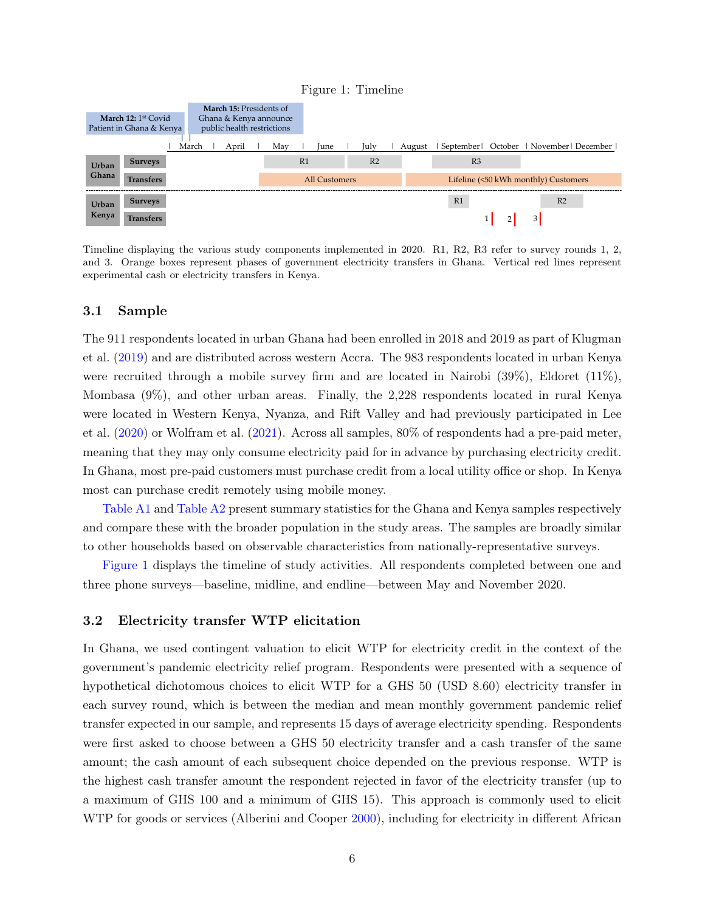<span id="page-5-0"></span>

Timeline displaying the various study components implemented in 2020. R1, R2, R3 refer to survey rounds 1, 2, and 3. Orange boxes represent phases of government electricity transfers in Ghana. Vertical red lines represent experimental cash or electricity transfers in Kenya.

#### 3.1 Sample

The 911 respondents located in urban Ghana had been enrolled in 2018 and 2019 as part of Klugman et al. [\(2019\)](#page-16-11) and are distributed across western Accra. The 983 respondents located in urban Kenya were recruited through a mobile survey firm and are located in Nairobi (39%), Eldoret (11%), Mombasa (9%), and other urban areas. Finally, the 2,228 respondents located in rural Kenya were located in Western Kenya, Nyanza, and Rift Valley and had previously participated in Lee et al. [\(2020\)](#page-16-9) or Wolfram et al. [\(2021\)](#page-16-12). Across all samples, 80% of respondents had a pre-paid meter, meaning that they may only consume electricity paid for in advance by purchasing electricity credit. In Ghana, most pre-paid customers must purchase credit from a local utility office or shop. In Kenya most can purchase credit remotely using mobile money.

[Table A1](#page--1-0) and [Table A2](#page--1-1) present summary statistics for the Ghana and Kenya samples respectively and compare these with the broader population in the study areas. The samples are broadly similar to other households based on observable characteristics from nationally-representative surveys.

[Figure 1](#page-5-0) displays the timeline of study activities. All respondents completed between one and three phone surveys—baseline, midline, and endline—between May and November 2020.

#### 3.2 Electricity transfer WTP elicitation

In Ghana, we used contingent valuation to elicit WTP for electricity credit in the context of the government's pandemic electricity relief program. Respondents were presented with a sequence of hypothetical dichotomous choices to elicit WTP for a GHS 50 (USD 8.60) electricity transfer in each survey round, which is between the median and mean monthly government pandemic relief transfer expected in our sample, and represents 15 days of average electricity spending. Respondents were first asked to choose between a GHS 50 electricity transfer and a cash transfer of the same amount; the cash amount of each subsequent choice depended on the previous response. WTP is the highest cash transfer amount the respondent rejected in favor of the electricity transfer (up to a maximum of GHS 100 and a minimum of GHS 15). This approach is commonly used to elicit WTP for goods or services (Alberini and Cooper [2000\)](#page-15-14), including for electricity in different African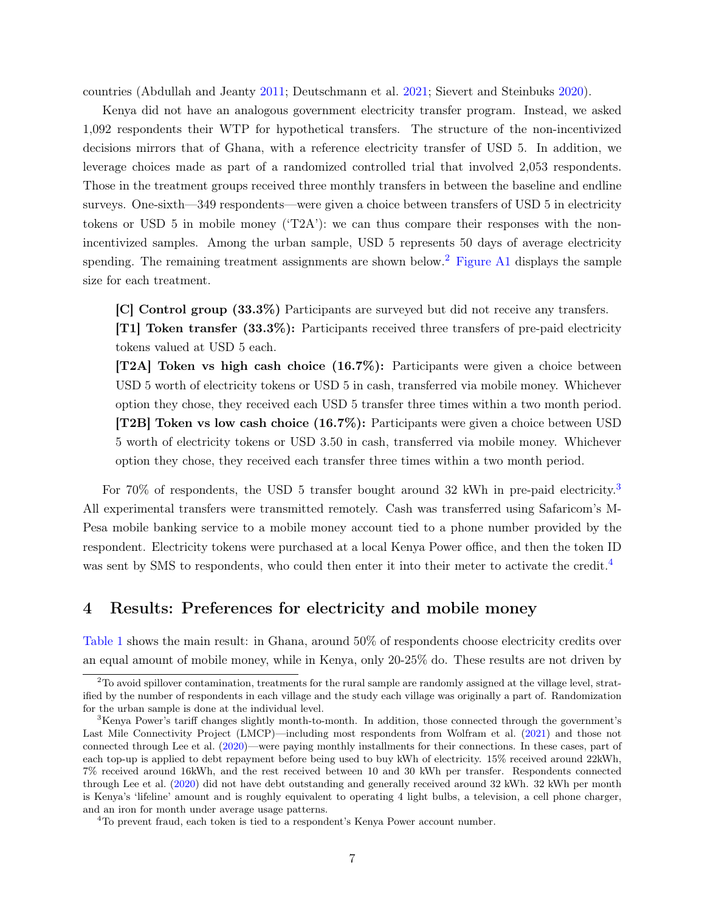countries (Abdullah and Jeanty [2011;](#page-15-15) Deutschmann et al. [2021;](#page-15-16) Sievert and Steinbuks [2020\)](#page-16-13).

Kenya did not have an analogous government electricity transfer program. Instead, we asked 1,092 respondents their WTP for hypothetical transfers. The structure of the non-incentivized decisions mirrors that of Ghana, with a reference electricity transfer of USD 5. In addition, we leverage choices made as part of a randomized controlled trial that involved 2,053 respondents. Those in the treatment groups received three monthly transfers in between the baseline and endline surveys. One-sixth—349 respondents—were given a choice between transfers of USD 5 in electricity tokens or USD 5 in mobile money ( $T2A'$ ): we can thus compare their responses with the nonincentivized samples. Among the urban sample, USD 5 represents 50 days of average electricity spending. The remaining treatment assignments are shown below.<sup>[2](#page-6-0)</sup> [Figure A1](#page--1-0) displays the sample size for each treatment.

[C] Control group (33.3%) Participants are surveyed but did not receive any transfers. [T1] Token transfer (33.3%): Participants received three transfers of pre-paid electricity

tokens valued at USD 5 each.

[T2A] Token vs high cash choice (16.7%): Participants were given a choice between USD 5 worth of electricity tokens or USD 5 in cash, transferred via mobile money. Whichever option they chose, they received each USD 5 transfer three times within a two month period. [T2B] Token vs low cash choice (16.7%): Participants were given a choice between USD 5 worth of electricity tokens or USD 3.50 in cash, transferred via mobile money. Whichever option they chose, they received each transfer three times within a two month period.

For 70% of respondents, the USD 5 transfer bought around [3](#page-6-1)2 kWh in pre-paid electricity.<sup>3</sup> All experimental transfers were transmitted remotely. Cash was transferred using Safaricom's M-Pesa mobile banking service to a mobile money account tied to a phone number provided by the respondent. Electricity tokens were purchased at a local Kenya Power office, and then the token ID was sent by SMS to respondents, who could then enter it into their meter to activate the credit.<sup>[4](#page-6-2)</sup>

### 4 Results: Preferences for electricity and mobile money

[Table 1](#page-7-0) shows the main result: in Ghana, around 50% of respondents choose electricity credits over an equal amount of mobile money, while in Kenya, only 20-25% do. These results are not driven by

<span id="page-6-0"></span><sup>2</sup>To avoid spillover contamination, treatments for the rural sample are randomly assigned at the village level, stratified by the number of respondents in each village and the study each village was originally a part of. Randomization for the urban sample is done at the individual level.

<span id="page-6-1"></span><sup>&</sup>lt;sup>3</sup>Kenya Power's tariff changes slightly month-to-month. In addition, those connected through the government's Last Mile Connectivity Project (LMCP)—including most respondents from Wolfram et al. [\(2021\)](#page-16-12) and those not connected through Lee et al. [\(2020\)](#page-16-9)—were paying monthly installments for their connections. In these cases, part of each top-up is applied to debt repayment before being used to buy kWh of electricity. 15% received around 22kWh, 7% received around 16kWh, and the rest received between 10 and 30 kWh per transfer. Respondents connected through Lee et al. [\(2020\)](#page-16-9) did not have debt outstanding and generally received around 32 kWh. 32 kWh per month is Kenya's 'lifeline' amount and is roughly equivalent to operating 4 light bulbs, a television, a cell phone charger, and an iron for month under average usage patterns.

<span id="page-6-2"></span><sup>4</sup>To prevent fraud, each token is tied to a respondent's Kenya Power account number.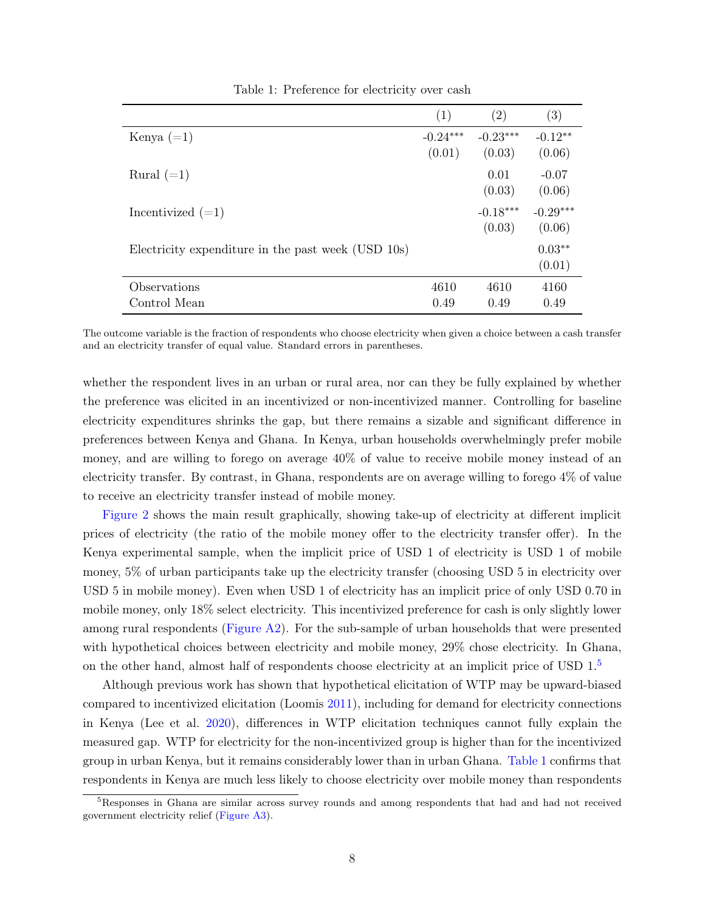<span id="page-7-0"></span>

|                                                    | (1)                  | (2)                  | (3)                  |
|----------------------------------------------------|----------------------|----------------------|----------------------|
| Kenya $(=1)$                                       | $-0.24***$<br>(0.01) | $-0.23***$<br>(0.03) | $-0.12**$<br>(0.06)  |
| Rural $(=1)$                                       |                      | 0.01<br>(0.03)       | $-0.07$<br>(0.06)    |
| Incentivized $(=1)$                                |                      | $-0.18***$<br>(0.03) | $-0.29***$<br>(0.06) |
| Electricity expenditure in the past week (USD 10s) |                      |                      | $0.03**$<br>(0.01)   |
| Observations<br>Control Mean                       | 4610<br>0.49         | 4610<br>0.49         | 4160<br>0.49         |

Table 1: Preference for electricity over cash

The outcome variable is the fraction of respondents who choose electricity when given a choice between a cash transfer and an electricity transfer of equal value. Standard errors in parentheses.

whether the respondent lives in an urban or rural area, nor can they be fully explained by whether the preference was elicited in an incentivized or non-incentivized manner. Controlling for baseline electricity expenditures shrinks the gap, but there remains a sizable and significant difference in preferences between Kenya and Ghana. In Kenya, urban households overwhelmingly prefer mobile money, and are willing to forego on average 40% of value to receive mobile money instead of an electricity transfer. By contrast, in Ghana, respondents are on average willing to forego 4% of value to receive an electricity transfer instead of mobile money.

[Figure 2](#page-8-0) shows the main result graphically, showing take-up of electricity at different implicit prices of electricity (the ratio of the mobile money offer to the electricity transfer offer). In the Kenya experimental sample, when the implicit price of USD 1 of electricity is USD 1 of mobile money, 5% of urban participants take up the electricity transfer (choosing USD 5 in electricity over USD 5 in mobile money). Even when USD 1 of electricity has an implicit price of only USD 0.70 in mobile money, only 18% select electricity. This incentivized preference for cash is only slightly lower among rural respondents [\(Figure A2\)](#page--1-2). For the sub-sample of urban households that were presented with hypothetical choices between electricity and mobile money, 29% chose electricity. In Ghana, on the other hand, almost half of respondents choose electricity at an implicit price of USD  $1<sup>5</sup>$  $1<sup>5</sup>$  $1<sup>5</sup>$ 

Although previous work has shown that hypothetical elicitation of WTP may be upward-biased compared to incentivized elicitation (Loomis [2011\)](#page-16-14), including for demand for electricity connections in Kenya (Lee et al. [2020\)](#page-16-9), differences in WTP elicitation techniques cannot fully explain the measured gap. WTP for electricity for the non-incentivized group is higher than for the incentivized group in urban Kenya, but it remains considerably lower than in urban Ghana. [Table 1](#page-7-0) confirms that respondents in Kenya are much less likely to choose electricity over mobile money than respondents

<span id="page-7-1"></span><sup>&</sup>lt;sup>5</sup>Responses in Ghana are similar across survey rounds and among respondents that had and had not received government electricity relief [\(Figure A3\)](#page--1-3).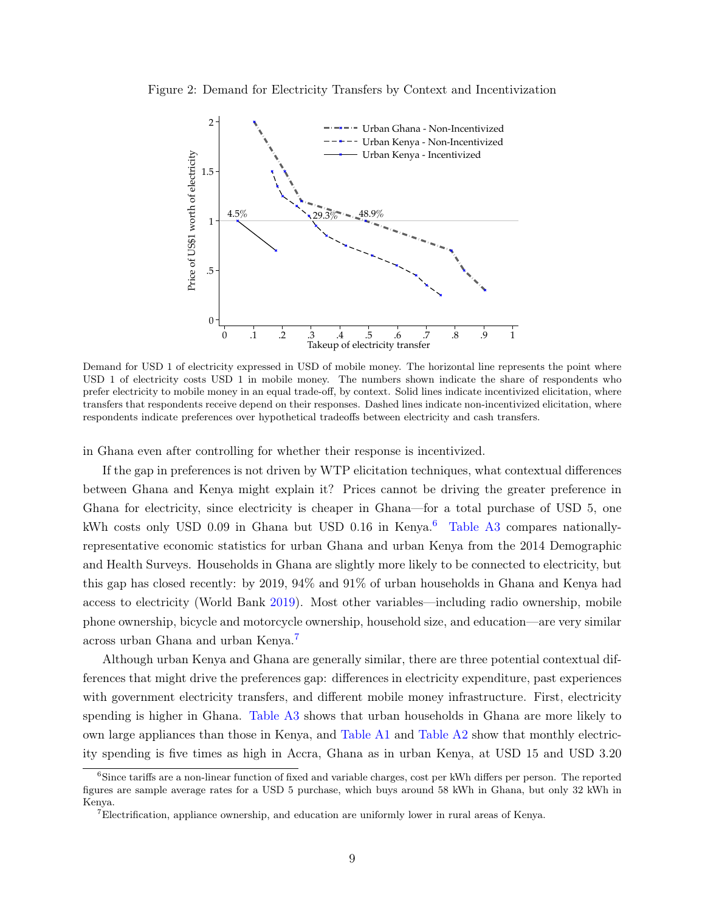<span id="page-8-0"></span>Figure 2: Demand for Electricity Transfers by Context and Incentivization



Demand for USD 1 of electricity expressed in USD of mobile money. The horizontal line represents the point where USD 1 of electricity costs USD 1 in mobile money. The numbers shown indicate the share of respondents who prefer electricity to mobile money in an equal trade-off, by context. Solid lines indicate incentivized elicitation, where transfers that respondents receive depend on their responses. Dashed lines indicate non-incentivized elicitation, where respondents indicate preferences over hypothetical tradeoffs between electricity and cash transfers.

in Ghana even after controlling for whether their response is incentivized.

If the gap in preferences is not driven by WTP elicitation techniques, what contextual differences between Ghana and Kenya might explain it? Prices cannot be driving the greater preference in Ghana for electricity, since electricity is cheaper in Ghana—for a total purchase of USD 5, one kWh costs only USD 0.09 in Ghana but USD 0.1[6](#page-8-1) in Kenya.<sup>6</sup> [Table A3](#page--1-4) compares nationallyrepresentative economic statistics for urban Ghana and urban Kenya from the 2014 Demographic and Health Surveys. Households in Ghana are slightly more likely to be connected to electricity, but this gap has closed recently: by 2019, 94% and 91% of urban households in Ghana and Kenya had access to electricity (World Bank [2019\)](#page-16-4). Most other variables—including radio ownership, mobile phone ownership, bicycle and motorcycle ownership, household size, and education—are very similar across urban Ghana and urban Kenya.[7](#page-8-2)

Although urban Kenya and Ghana are generally similar, there are three potential contextual differences that might drive the preferences gap: differences in electricity expenditure, past experiences with government electricity transfers, and different mobile money infrastructure. First, electricity spending is higher in Ghana. [Table A3](#page--1-4) shows that urban households in Ghana are more likely to own large appliances than those in Kenya, and [Table A1](#page--1-0) and [Table A2](#page--1-1) show that monthly electricity spending is five times as high in Accra, Ghana as in urban Kenya, at USD 15 and USD 3.20

<span id="page-8-1"></span><sup>&</sup>lt;sup>6</sup>Since tariffs are a non-linear function of fixed and variable charges, cost per kWh differs per person. The reported figures are sample average rates for a USD 5 purchase, which buys around 58 kWh in Ghana, but only 32 kWh in Kenya.

<span id="page-8-2"></span><sup>7</sup>Electrification, appliance ownership, and education are uniformly lower in rural areas of Kenya.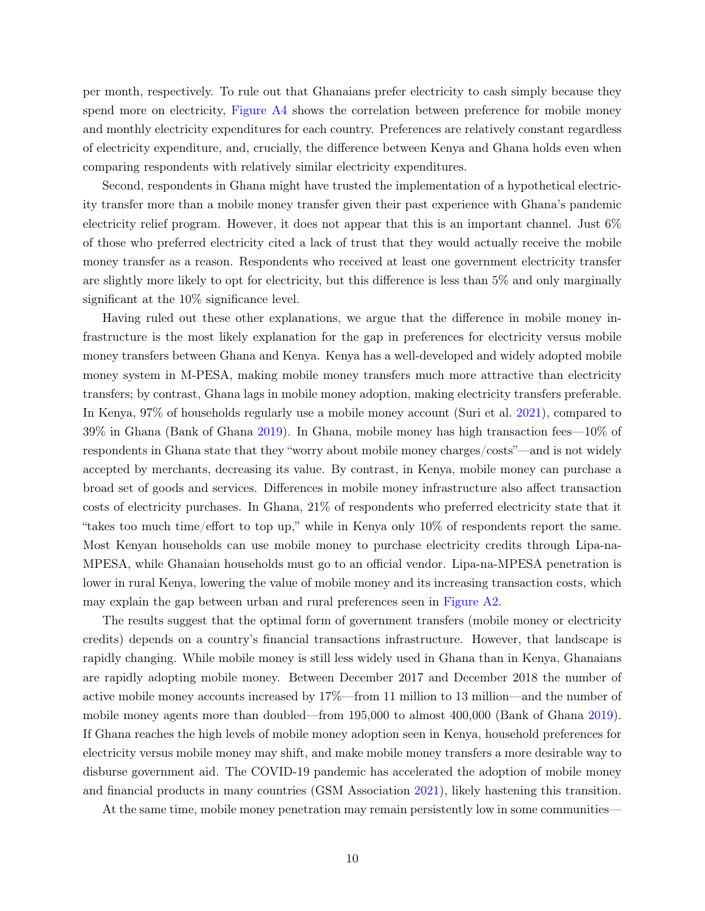per month, respectively. To rule out that Ghanaians prefer electricity to cash simply because they spend more on electricity, [Figure A4](#page--1-5) shows the correlation between preference for mobile money and monthly electricity expenditures for each country. Preferences are relatively constant regardless of electricity expenditure, and, crucially, the difference between Kenya and Ghana holds even when comparing respondents with relatively similar electricity expenditures.

Second, respondents in Ghana might have trusted the implementation of a hypothetical electricity transfer more than a mobile money transfer given their past experience with Ghana's pandemic electricity relief program. However, it does not appear that this is an important channel. Just 6% of those who preferred electricity cited a lack of trust that they would actually receive the mobile money transfer as a reason. Respondents who received at least one government electricity transfer are slightly more likely to opt for electricity, but this difference is less than 5% and only marginally significant at the 10% significance level.

Having ruled out these other explanations, we argue that the difference in mobile money infrastructure is the most likely explanation for the gap in preferences for electricity versus mobile money transfers between Ghana and Kenya. Kenya has a well-developed and widely adopted mobile money system in M-PESA, making mobile money transfers much more attractive than electricity transfers; by contrast, Ghana lags in mobile money adoption, making electricity transfers preferable. In Kenya, 97% of households regularly use a mobile money account (Suri et al. [2021\)](#page-16-2), compared to 39% in Ghana (Bank of Ghana [2019\)](#page-15-7). In Ghana, mobile money has high transaction fees—10% of respondents in Ghana state that they "worry about mobile money charges/costs"—and is not widely accepted by merchants, decreasing its value. By contrast, in Kenya, mobile money can purchase a broad set of goods and services. Differences in mobile money infrastructure also affect transaction costs of electricity purchases. In Ghana, 21% of respondents who preferred electricity state that it "takes too much time/effort to top up," while in Kenya only 10% of respondents report the same. Most Kenyan households can use mobile money to purchase electricity credits through Lipa-na-MPESA, while Ghanaian households must go to an official vendor. Lipa-na-MPESA penetration is lower in rural Kenya, lowering the value of mobile money and its increasing transaction costs, which may explain the gap between urban and rural preferences seen in [Figure A2.](#page--1-2)

The results suggest that the optimal form of government transfers (mobile money or electricity credits) depends on a country's financial transactions infrastructure. However, that landscape is rapidly changing. While mobile money is still less widely used in Ghana than in Kenya, Ghanaians are rapidly adopting mobile money. Between December 2017 and December 2018 the number of active mobile money accounts increased by 17%—from 11 million to 13 million—and the number of mobile money agents more than doubled—from 195,000 to almost 400,000 (Bank of Ghana [2019\)](#page-15-7). If Ghana reaches the high levels of mobile money adoption seen in Kenya, household preferences for electricity versus mobile money may shift, and make mobile money transfers a more desirable way to disburse government aid. The COVID-19 pandemic has accelerated the adoption of mobile money and financial products in many countries (GSM Association [2021\)](#page-16-7), likely hastening this transition.

At the same time, mobile money penetration may remain persistently low in some communities—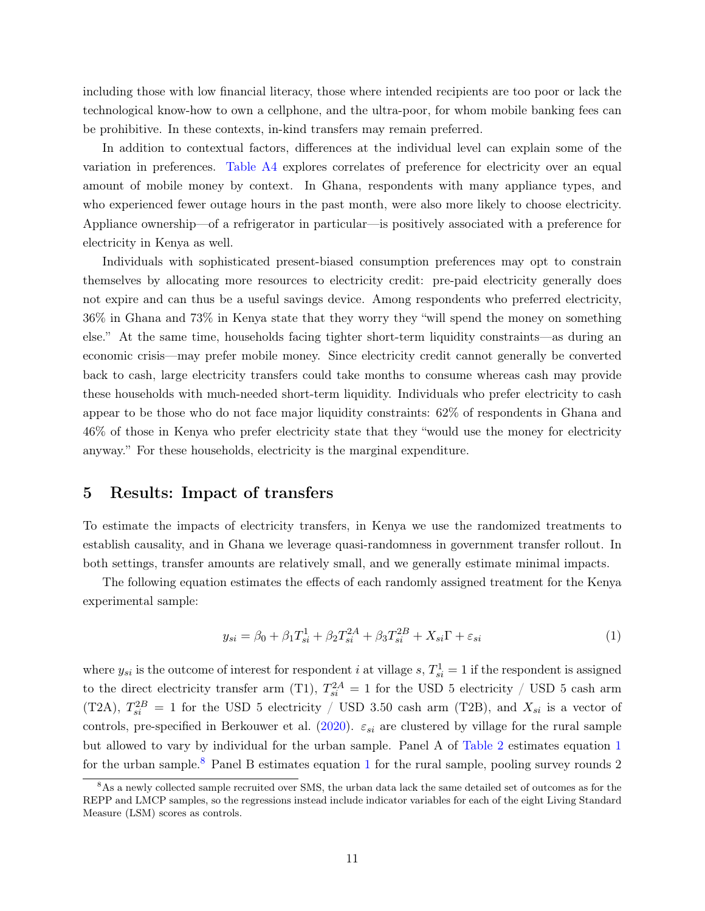including those with low financial literacy, those where intended recipients are too poor or lack the technological know-how to own a cellphone, and the ultra-poor, for whom mobile banking fees can be prohibitive. In these contexts, in-kind transfers may remain preferred.

In addition to contextual factors, differences at the individual level can explain some of the variation in preferences. [Table A4](#page--1-6) explores correlates of preference for electricity over an equal amount of mobile money by context. In Ghana, respondents with many appliance types, and who experienced fewer outage hours in the past month, were also more likely to choose electricity. Appliance ownership—of a refrigerator in particular—is positively associated with a preference for electricity in Kenya as well.

Individuals with sophisticated present-biased consumption preferences may opt to constrain themselves by allocating more resources to electricity credit: pre-paid electricity generally does not expire and can thus be a useful savings device. Among respondents who preferred electricity, 36% in Ghana and 73% in Kenya state that they worry they "will spend the money on something else." At the same time, households facing tighter short-term liquidity constraints—as during an economic crisis—may prefer mobile money. Since electricity credit cannot generally be converted back to cash, large electricity transfers could take months to consume whereas cash may provide these households with much-needed short-term liquidity. Individuals who prefer electricity to cash appear to be those who do not face major liquidity constraints: 62% of respondents in Ghana and 46% of those in Kenya who prefer electricity state that they "would use the money for electricity anyway." For these households, electricity is the marginal expenditure.

## 5 Results: Impact of transfers

To estimate the impacts of electricity transfers, in Kenya we use the randomized treatments to establish causality, and in Ghana we leverage quasi-randomness in government transfer rollout. In both settings, transfer amounts are relatively small, and we generally estimate minimal impacts.

The following equation estimates the effects of each randomly assigned treatment for the Kenya experimental sample:

<span id="page-10-0"></span>
$$
y_{si} = \beta_0 + \beta_1 T_{si}^1 + \beta_2 T_{si}^{2A} + \beta_3 T_{si}^{2B} + X_{si} \Gamma + \varepsilon_{si}
$$
 (1)

where  $y_{si}$  is the outcome of interest for respondent *i* at village *s*,  $T_{si}^1 = 1$  if the respondent is assigned to the direct electricity transfer arm (T1),  $T_{si}^{2A} = 1$  for the USD 5 electricity / USD 5 cash arm (T2A),  $T_{si}^{2B} = 1$  for the USD 5 electricity / USD 3.50 cash arm (T2B), and  $X_{si}$  is a vector of controls, pre-specified in Berkouwer et al. [\(2020\)](#page-15-17).  $\varepsilon_{si}$  are clustered by village for the rural sample but allowed to vary by individual for the urban sample. Panel A of [Table 2](#page-11-0) estimates equation [1](#page-10-0) for the urban sample.<sup>[8](#page-10-1)</sup> Panel B estimates equation [1](#page-10-0) for the rural sample, pooling survey rounds 2

<span id="page-10-1"></span><sup>8</sup>As a newly collected sample recruited over SMS, the urban data lack the same detailed set of outcomes as for the REPP and LMCP samples, so the regressions instead include indicator variables for each of the eight Living Standard Measure (LSM) scores as controls.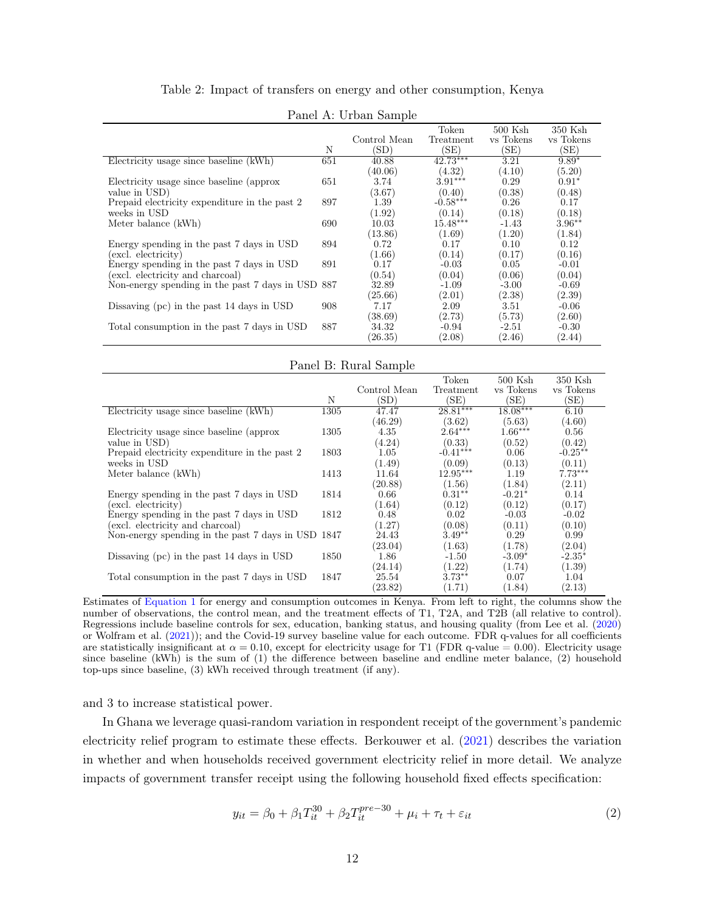| Table 2: Impact of transfers on energy and other consumption, Kenya |  |  |
|---------------------------------------------------------------------|--|--|
|                                                                     |  |  |

<span id="page-11-0"></span>

|                                               |     |              | Token      | $500$ Ksh | 350 Ksh   |
|-----------------------------------------------|-----|--------------|------------|-----------|-----------|
|                                               |     | Control Mean | Treatment  | vs Tokens | vs Tokens |
|                                               | N   | (SD)         | (SE)       | (SE)      | (SE)      |
| Electricity usage since baseline (kWh)        | 651 | 40.88        | $42.73***$ | 3.21      | $9.89*$   |
|                                               |     | (40.06)      | (4.32)     | (4.10)    | (5.20)    |
| Electricity usage since baseline (approx)     | 651 | 3.74         | $3.91***$  | 0.29      | $0.91*$   |
| value in USD)                                 |     | (3.67)       | (0.40)     | (0.38)    | (0.48)    |
| Prepaid electricity expenditure in the past 2 | 897 | 1.39         | $-0.58***$ | 0.26      | 0.17      |
| weeks in USD                                  |     | (1.92)       | (0.14)     | (0.18)    | (0.18)    |
| Meter balance (kWh)                           | 690 | 10.03        | $15.48***$ | -1.43     | $3.96**$  |
|                                               |     | (13.86)      | (1.69)     | (1.20)    | (1.84)    |
| Energy spending in the past 7 days in USD     | 894 | 0.72         | 0.17       | 0.10      | 0.12      |
| (excl. electricity)                           |     | (1.66)       | (0.14)     | (0.17)    | (0.16)    |
| Energy spending in the past 7 days in USD     | 891 | 0.17         | $-0.03$    | 0.05      | $-0.01$   |
| (excl. electricity and charcoal)              |     | (0.54)       | (0.04)     | (0.06)    | (0.04)    |
| Non-energy spending in the past 7 days in USD | 887 | 32.89        | $-1.09$    | $-3.00$   | $-0.69$   |
|                                               |     | (25.66)      | (2.01)     | (2.38)    | (2.39)    |
| Dissaving (pc) in the past 14 days in USD     | 908 | 7.17         | 2.09       | 3.51      | $-0.06$   |
|                                               |     | (38.69)      | (2.73)     | (5.73)    | (2.60)    |
| Total consumption in the past 7 days in USD   | 887 | 34.32        | $-0.94$    | $-2.51$   | $-0.30$   |
|                                               |     | (26.35)      | (2.08)     | (2.46)    | (2.44)    |

Panel A: Urban Sample

| Panel B: Rural Sample                              |      |              |            |            |           |  |
|----------------------------------------------------|------|--------------|------------|------------|-----------|--|
|                                                    |      |              | Token      | $500$ Ksh  | 350 Ksh   |  |
|                                                    |      | Control Mean | Treatment  | vs Tokens  | vs Tokens |  |
|                                                    | N    | (SD)         | (SE)       | (SE)       | (SE)      |  |
| Electricity usage since baseline (kWh)             | 1305 | 47.47        | $28.81***$ | $18.08***$ | 6.10      |  |
|                                                    |      | (46.29)      | (3.62)     | (5.63)     | (4.60)    |  |
| Electricity usage since baseline (approx           | 1305 | 4.35         | $2.64***$  | $1.66***$  | 0.56      |  |
| value in USD)                                      |      | (4.24)       | (0.33)     | (0.52)     | (0.42)    |  |
| Prepaid electricity expenditure in the past 2      | 1803 | 1.05         | $-0.41***$ | 0.06       | $-0.25**$ |  |
| weeks in USD                                       |      | (1.49)       | (0.09)     | (0.13)     | (0.11)    |  |
| Meter balance (kWh)                                | 1413 | 11.64        | $12.95***$ | 1.19       | $7.73***$ |  |
|                                                    |      | (20.88)      | (1.56)     | (1.84)     | (2.11)    |  |
| Energy spending in the past 7 days in USD          | 1814 | 0.66         | $0.31**$   | $-0.21*$   | 0.14      |  |
| (excl. electricity)                                |      | (1.64)       | (0.12)     | (0.12)     | (0.17)    |  |
| Energy spending in the past 7 days in USD          | 1812 | 0.48         | 0.02       | $-0.03$    | $-0.02$   |  |
| (excl. electricity and charcoal)                   |      | (1.27)       | (0.08)     | (0.11)     | (0.10)    |  |
| Non-energy spending in the past 7 days in USD 1847 |      | 24.43        | $3.49**$   | 0.29       | 0.99      |  |
|                                                    |      | (23.04)      | (1.63)     | (1.78)     | (2.04)    |  |
| Dissaving (pc) in the past 14 days in USD          | 1850 | 1.86         | $-1.50$    | $-3.09*$   | $-2.35*$  |  |
|                                                    |      | (24.14)      | (1.22)     | (1.74)     | (1.39)    |  |
| Total consumption in the past 7 days in USD        | 1847 | 25.54        | $3.73**$   | 0.07       | 1.04      |  |
|                                                    |      | (23.82)      | (1.71)     | (1.84)     | (2.13)    |  |

Estimates of [Equation 1](#page-10-0) for energy and consumption outcomes in Kenya. From left to right, the columns show the number of observations, the control mean, and the treatment effects of T1, T2A, and T2B (all relative to control). Regressions include baseline controls for sex, education, banking status, and housing quality (from Lee et al. [\(2020\)](#page-16-9) or Wolfram et al. [\(2021\)](#page-16-12)); and the Covid-19 survey baseline value for each outcome. FDR q-values for all coefficients are statistically insignificant at  $\alpha = 0.10$ , except for electricity usage for T1 (FDR q-value = 0.00). Electricity usage since baseline (kWh) is the sum of (1) the difference between baseline and endline meter balance, (2) household top-ups since baseline, (3) kWh received through treatment (if any).

and 3 to increase statistical power.

In Ghana we leverage quasi-random variation in respondent receipt of the government's pandemic electricity relief program to estimate these effects. Berkouwer et al. [\(2021\)](#page-15-12) describes the variation in whether and when households received government electricity relief in more detail. We analyze impacts of government transfer receipt using the following household fixed effects specification:

<span id="page-11-1"></span>
$$
y_{it} = \beta_0 + \beta_1 T_{it}^{30} + \beta_2 T_{it}^{pre-30} + \mu_i + \tau_t + \varepsilon_{it}
$$
 (2)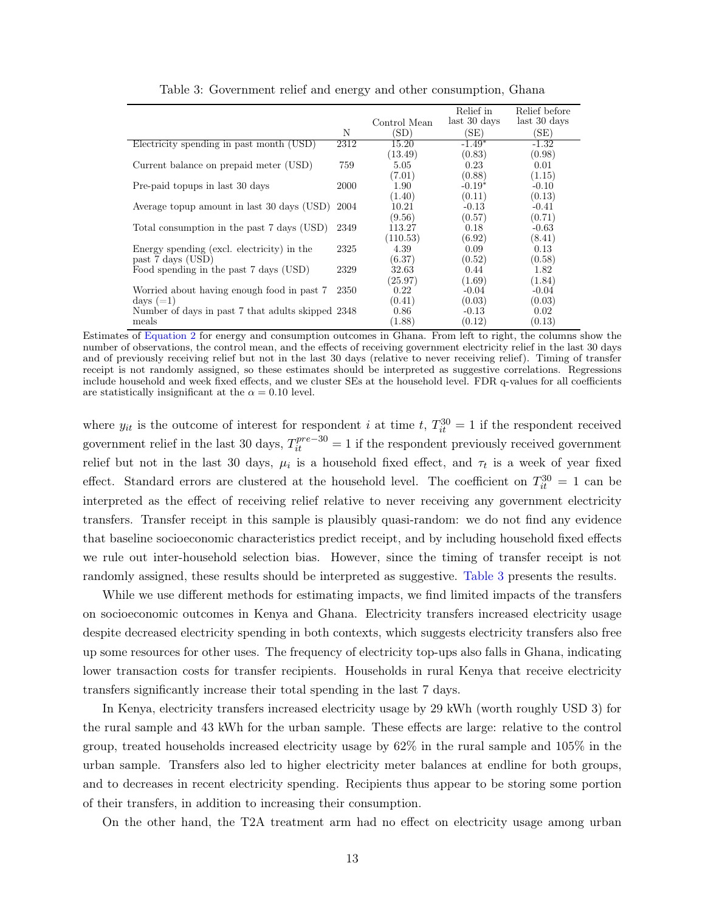<span id="page-12-0"></span>

|                                                   |      | Control Mean | Relief in<br>last 30 days | Relief before<br>last 30 days |
|---------------------------------------------------|------|--------------|---------------------------|-------------------------------|
|                                                   | N    | (SD)         | (SE)                      | (SE)                          |
| Electricity spending in past month (USD)          | 2312 | 15.20        | $-1.49*$                  | $-1.32$                       |
|                                                   |      | (13.49)      | (0.83)                    | (0.98)                        |
| Current balance on prepaid meter (USD)            | 759  | 5.05         | 0.23                      | 0.01                          |
|                                                   |      | (7.01)       | (0.88)                    | (1.15)                        |
| Pre-paid topups in last 30 days                   | 2000 | 1.90         | $-0.19*$                  | $-0.10$                       |
|                                                   |      | (1.40)       | (0.11)                    | (0.13)                        |
| Average topup amount in last 30 days (USD)        | 2004 | 10.21        | $-0.13$                   | $-0.41$                       |
|                                                   |      | (9.56)       | (0.57)                    | (0.71)                        |
| Total consumption in the past 7 days (USD)        | 2349 | 113.27       | 0.18                      | $-0.63$                       |
|                                                   |      | (110.53)     | (6.92)                    | (8.41)                        |
| Energy spending (excl. electricity) in the        | 2325 | 4.39         | 0.09                      | 0.13                          |
| past 7 days (USD)                                 |      | (6.37)       | (0.52)                    | (0.58)                        |
| Food spending in the past 7 days (USD)            | 2329 | 32.63        | 0.44                      | 1.82                          |
|                                                   |      | (25.97)      | (1.69)                    | (1.84)                        |
| Worried about having enough food in past 7        | 2350 | 0.22         | $-0.04$                   | $-0.04$                       |
| days $(=1)$                                       |      | (0.41)       | (0.03)                    | (0.03)                        |
| Number of days in past 7 that adults skipped 2348 |      | 0.86         | $-0.13$                   | 0.02                          |
| meals                                             |      | (1.88)       | (0.12)                    | (0.13)                        |

Table 3: Government relief and energy and other consumption, Ghana

Estimates of [Equation 2](#page-11-1) for energy and consumption outcomes in Ghana. From left to right, the columns show the number of observations, the control mean, and the effects of receiving government electricity relief in the last 30 days and of previously receiving relief but not in the last 30 days (relative to never receiving relief). Timing of transfer receipt is not randomly assigned, so these estimates should be interpreted as suggestive correlations. Regressions include household and week fixed effects, and we cluster SEs at the household level. FDR q-values for all coefficients are statistically insignificant at the  $\alpha = 0.10$  level.

where  $y_{it}$  is the outcome of interest for respondent i at time t,  $T_{it}^{30} = 1$  if the respondent received government relief in the last 30 days,  $T_{it}^{pre-30} = 1$  if the respondent previously received government relief but not in the last 30 days,  $\mu_i$  is a household fixed effect, and  $\tau_t$  is a week of year fixed effect. Standard errors are clustered at the household level. The coefficient on  $T_{it}^{30} = 1$  can be interpreted as the effect of receiving relief relative to never receiving any government electricity transfers. Transfer receipt in this sample is plausibly quasi-random: we do not find any evidence that baseline socioeconomic characteristics predict receipt, and by including household fixed effects we rule out inter-household selection bias. However, since the timing of transfer receipt is not randomly assigned, these results should be interpreted as suggestive. [Table 3](#page-12-0) presents the results.

While we use different methods for estimating impacts, we find limited impacts of the transfers on socioeconomic outcomes in Kenya and Ghana. Electricity transfers increased electricity usage despite decreased electricity spending in both contexts, which suggests electricity transfers also free up some resources for other uses. The frequency of electricity top-ups also falls in Ghana, indicating lower transaction costs for transfer recipients. Households in rural Kenya that receive electricity transfers significantly increase their total spending in the last 7 days.

In Kenya, electricity transfers increased electricity usage by 29 kWh (worth roughly USD 3) for the rural sample and 43 kWh for the urban sample. These effects are large: relative to the control group, treated households increased electricity usage by 62% in the rural sample and 105% in the urban sample. Transfers also led to higher electricity meter balances at endline for both groups, and to decreases in recent electricity spending. Recipients thus appear to be storing some portion of their transfers, in addition to increasing their consumption.

On the other hand, the T2A treatment arm had no effect on electricity usage among urban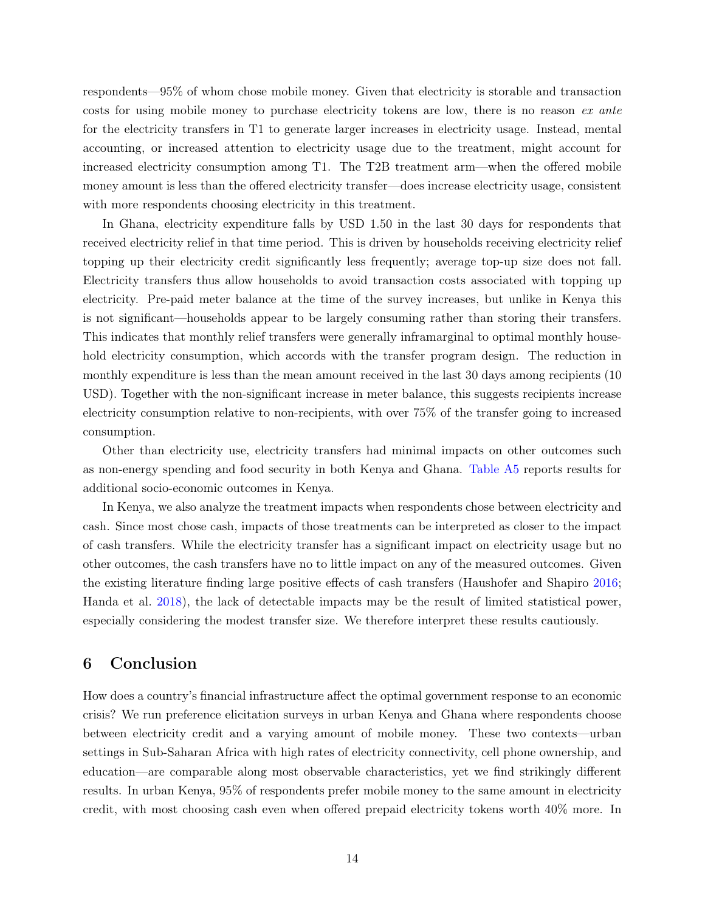respondents—95% of whom chose mobile money. Given that electricity is storable and transaction costs for using mobile money to purchase electricity tokens are low, there is no reason ex ante for the electricity transfers in T1 to generate larger increases in electricity usage. Instead, mental accounting, or increased attention to electricity usage due to the treatment, might account for increased electricity consumption among T1. The T2B treatment arm—when the offered mobile money amount is less than the offered electricity transfer—does increase electricity usage, consistent with more respondents choosing electricity in this treatment.

In Ghana, electricity expenditure falls by USD 1.50 in the last 30 days for respondents that received electricity relief in that time period. This is driven by households receiving electricity relief topping up their electricity credit significantly less frequently; average top-up size does not fall. Electricity transfers thus allow households to avoid transaction costs associated with topping up electricity. Pre-paid meter balance at the time of the survey increases, but unlike in Kenya this is not significant—households appear to be largely consuming rather than storing their transfers. This indicates that monthly relief transfers were generally inframarginal to optimal monthly household electricity consumption, which accords with the transfer program design. The reduction in monthly expenditure is less than the mean amount received in the last 30 days among recipients (10 USD). Together with the non-significant increase in meter balance, this suggests recipients increase electricity consumption relative to non-recipients, with over 75% of the transfer going to increased consumption.

Other than electricity use, electricity transfers had minimal impacts on other outcomes such as non-energy spending and food security in both Kenya and Ghana. [Table A5](#page--1-4) reports results for additional socio-economic outcomes in Kenya.

In Kenya, we also analyze the treatment impacts when respondents chose between electricity and cash. Since most chose cash, impacts of those treatments can be interpreted as closer to the impact of cash transfers. While the electricity transfer has a significant impact on electricity usage but no other outcomes, the cash transfers have no to little impact on any of the measured outcomes. Given the existing literature finding large positive effects of cash transfers (Haushofer and Shapiro [2016;](#page-16-15) Handa et al. [2018\)](#page-16-16), the lack of detectable impacts may be the result of limited statistical power, especially considering the modest transfer size. We therefore interpret these results cautiously.

# 6 Conclusion

How does a country's financial infrastructure affect the optimal government response to an economic crisis? We run preference elicitation surveys in urban Kenya and Ghana where respondents choose between electricity credit and a varying amount of mobile money. These two contexts—urban settings in Sub-Saharan Africa with high rates of electricity connectivity, cell phone ownership, and education—are comparable along most observable characteristics, yet we find strikingly different results. In urban Kenya, 95% of respondents prefer mobile money to the same amount in electricity credit, with most choosing cash even when offered prepaid electricity tokens worth 40% more. In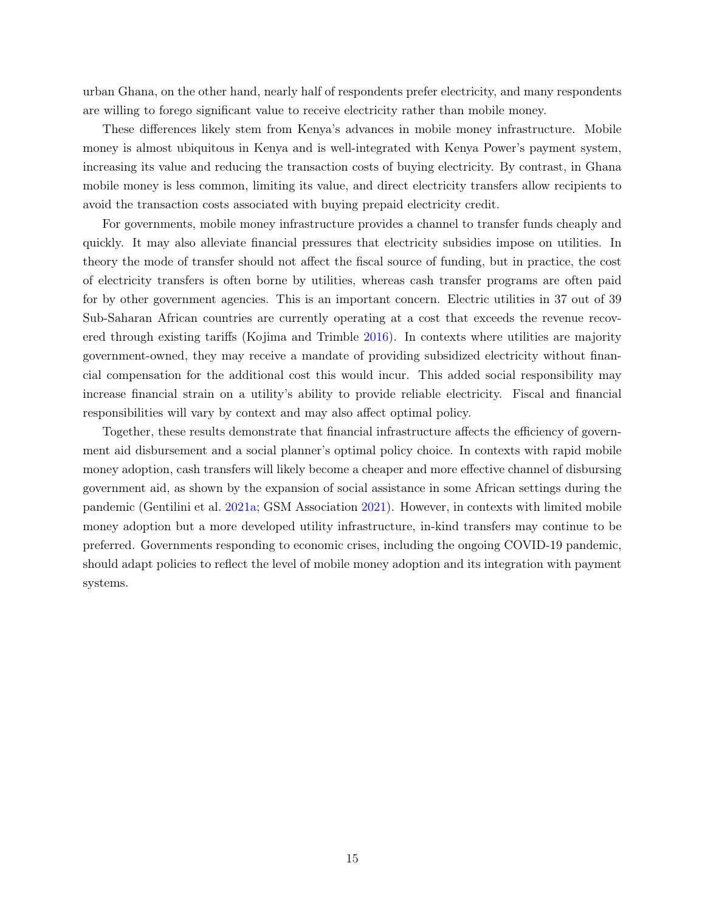urban Ghana, on the other hand, nearly half of respondents prefer electricity, and many respondents are willing to forego significant value to receive electricity rather than mobile money.

These differences likely stem from Kenya's advances in mobile money infrastructure. Mobile money is almost ubiquitous in Kenya and is well-integrated with Kenya Power's payment system, increasing its value and reducing the transaction costs of buying electricity. By contrast, in Ghana mobile money is less common, limiting its value, and direct electricity transfers allow recipients to avoid the transaction costs associated with buying prepaid electricity credit.

For governments, mobile money infrastructure provides a channel to transfer funds cheaply and quickly. It may also alleviate financial pressures that electricity subsidies impose on utilities. In theory the mode of transfer should not affect the fiscal source of funding, but in practice, the cost of electricity transfers is often borne by utilities, whereas cash transfer programs are often paid for by other government agencies. This is an important concern. Electric utilities in 37 out of 39 Sub-Saharan African countries are currently operating at a cost that exceeds the revenue recovered through existing tariffs (Kojima and Trimble [2016\)](#page-16-17). In contexts where utilities are majority government-owned, they may receive a mandate of providing subsidized electricity without financial compensation for the additional cost this would incur. This added social responsibility may increase financial strain on a utility's ability to provide reliable electricity. Fiscal and financial responsibilities will vary by context and may also affect optimal policy.

Together, these results demonstrate that financial infrastructure affects the efficiency of government aid disbursement and a social planner's optimal policy choice. In contexts with rapid mobile money adoption, cash transfers will likely become a cheaper and more effective channel of disbursing government aid, as shown by the expansion of social assistance in some African settings during the pandemic (Gentilini et al. [2021a;](#page-15-0) GSM Association [2021\)](#page-16-7). However, in contexts with limited mobile money adoption but a more developed utility infrastructure, in-kind transfers may continue to be preferred. Governments responding to economic crises, including the ongoing COVID-19 pandemic, should adapt policies to reflect the level of mobile money adoption and its integration with payment systems.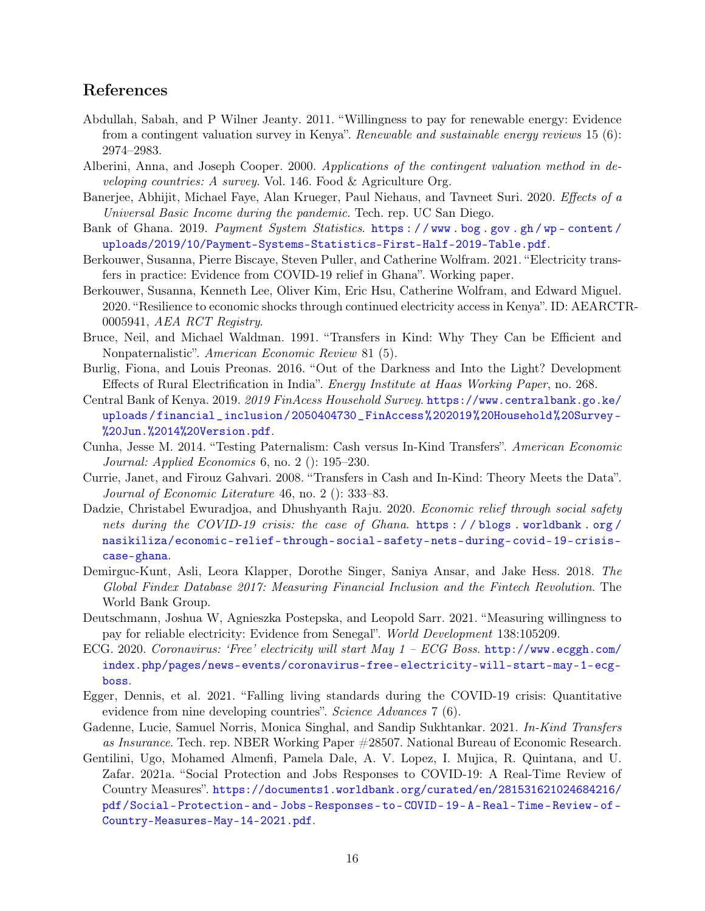## References

- <span id="page-15-15"></span>Abdullah, Sabah, and P Wilner Jeanty. 2011. "Willingness to pay for renewable energy: Evidence from a contingent valuation survey in Kenya". Renewable and sustainable energy reviews 15 (6): 2974–2983.
- <span id="page-15-14"></span>Alberini, Anna, and Joseph Cooper. 2000. Applications of the contingent valuation method in developing countries: A survey. Vol. 146. Food & Agriculture Org.
- <span id="page-15-2"></span>Banerjee, Abhijit, Michael Faye, Alan Krueger, Paul Niehaus, and Tavneet Suri. 2020. Effects of a Universal Basic Income during the pandemic. Tech. rep. UC San Diego.
- <span id="page-15-7"></span>Bank of Ghana. 2019. Payment System Statistics. https://www.bog.gov.gh/wp-content/ [uploads/2019/10/Payment-Systems-Statistics-First-Half-2019-Table.pdf](https://www.bog.gov.gh/wp-content/uploads/2019/10/Payment-Systems-Statistics-First-Half-2019-Table.pdf).
- <span id="page-15-12"></span>Berkouwer, Susanna, Pierre Biscaye, Steven Puller, and Catherine Wolfram. 2021. "Electricity transfers in practice: Evidence from COVID-19 relief in Ghana". Working paper.
- <span id="page-15-17"></span>Berkouwer, Susanna, Kenneth Lee, Oliver Kim, Eric Hsu, Catherine Wolfram, and Edward Miguel. 2020. "Resilience to economic shocks through continued electricity access in Kenya". ID: AEARCTR-0005941, AEA RCT Registry.
- <span id="page-15-3"></span>Bruce, Neil, and Michael Waldman. 1991. "Transfers in Kind: Why They Can be Efficient and Nonpaternalistic". American Economic Review 81 (5).
- <span id="page-15-8"></span>Burlig, Fiona, and Louis Preonas. 2016. "Out of the Darkness and Into the Light? Development Effects of Rural Electrification in India". Energy Institute at Haas Working Paper, no. 268.
- <span id="page-15-9"></span>Central Bank of Kenya. 2019. 2019 FinAcess Household Survey. [https://www.centralbank.go.ke/](https://www.centralbank.go.ke/uploads/financial_inclusion/2050404730_FinAccess%202019%20Household%20Survey-%20Jun.%2014%20Version.pdf) [uploads/financial\\_inclusion/2050404730\\_FinAccess%202019%20Household%20Survey-](https://www.centralbank.go.ke/uploads/financial_inclusion/2050404730_FinAccess%202019%20Household%20Survey-%20Jun.%2014%20Version.pdf) [%20Jun.%2014%20Version.pdf](https://www.centralbank.go.ke/uploads/financial_inclusion/2050404730_FinAccess%202019%20Household%20Survey-%20Jun.%2014%20Version.pdf).
- <span id="page-15-5"></span>Cunha, Jesse M. 2014. "Testing Paternalism: Cash versus In-Kind Transfers". American Economic Journal: Applied Economics 6, no. 2 (): 195–230.
- <span id="page-15-4"></span>Currie, Janet, and Firouz Gahvari. 2008. "Transfers in Cash and In-Kind: Theory Meets the Data". Journal of Economic Literature 46, no. 2 (): 333–83.
- <span id="page-15-13"></span>Dadzie, Christabel Ewuradjoa, and Dhushyanth Raju. 2020. Economic relief through social safety nets during the COVID-19 crisis: the case of Ghana. https://blogs.worldbank.org/ [nasikiliza/economic-relief-through-social-safety-nets-during-covid-19-crisis](https://blogs.worldbank.org/nasikiliza/economic-relief-through-social-safety-nets-during-covid-19-crisis-case-ghana)[case-ghana](https://blogs.worldbank.org/nasikiliza/economic-relief-through-social-safety-nets-during-covid-19-crisis-case-ghana).
- <span id="page-15-10"></span>Demirguc-Kunt, Asli, Leora Klapper, Dorothe Singer, Saniya Ansar, and Jake Hess. 2018. The Global Findex Database 2017: Measuring Financial Inclusion and the Fintech Revolution. The World Bank Group.
- <span id="page-15-16"></span>Deutschmann, Joshua W, Agnieszka Postepska, and Leopold Sarr. 2021. "Measuring willingness to pay for reliable electricity: Evidence from Senegal". World Development 138:105209.
- <span id="page-15-11"></span>ECG. 2020. Coronavirus: 'Free' electricity will start May 1 – ECG Boss. [http://www.ecggh.com/](http://www.ecggh.com/index.php/pages/news-events/coronavirus-free-electricity-will-start-may-1-ecg-boss) [index.php/pages/news-events/coronavirus-free-electricity-will-start-may-1-ecg](http://www.ecggh.com/index.php/pages/news-events/coronavirus-free-electricity-will-start-may-1-ecg-boss)[boss](http://www.ecggh.com/index.php/pages/news-events/coronavirus-free-electricity-will-start-may-1-ecg-boss).
- <span id="page-15-1"></span>Egger, Dennis, et al. 2021. "Falling living standards during the COVID-19 crisis: Quantitative evidence from nine developing countries". *Science Advances* 7 (6).
- <span id="page-15-6"></span>Gadenne, Lucie, Samuel Norris, Monica Singhal, and Sandip Sukhtankar. 2021. In-Kind Transfers as Insurance. Tech. rep. NBER Working Paper #28507. National Bureau of Economic Research.
- <span id="page-15-0"></span>Gentilini, Ugo, Mohamed Almenfi, Pamela Dale, A. V. Lopez, I. Mujica, R. Quintana, and U. Zafar. 2021a. "Social Protection and Jobs Responses to COVID-19: A Real-Time Review of Country Measures". [https://documents1.worldbank.org/curated/en/281531621024684216/](https://documents1.worldbank.org/curated/en/281531621024684216/pdf/Social-Protection-and-Jobs-Responses-to-COVID-19-A-Real-Time-Review-of-Country-Measures-May-14-2021.pdf) [pdf/Social- Protection- and- Jobs- Responses- to- COVID- 19- A- Real- Time- Review- of-](https://documents1.worldbank.org/curated/en/281531621024684216/pdf/Social-Protection-and-Jobs-Responses-to-COVID-19-A-Real-Time-Review-of-Country-Measures-May-14-2021.pdf)[Country-Measures-May-14-2021.pdf](https://documents1.worldbank.org/curated/en/281531621024684216/pdf/Social-Protection-and-Jobs-Responses-to-COVID-19-A-Real-Time-Review-of-Country-Measures-May-14-2021.pdf).